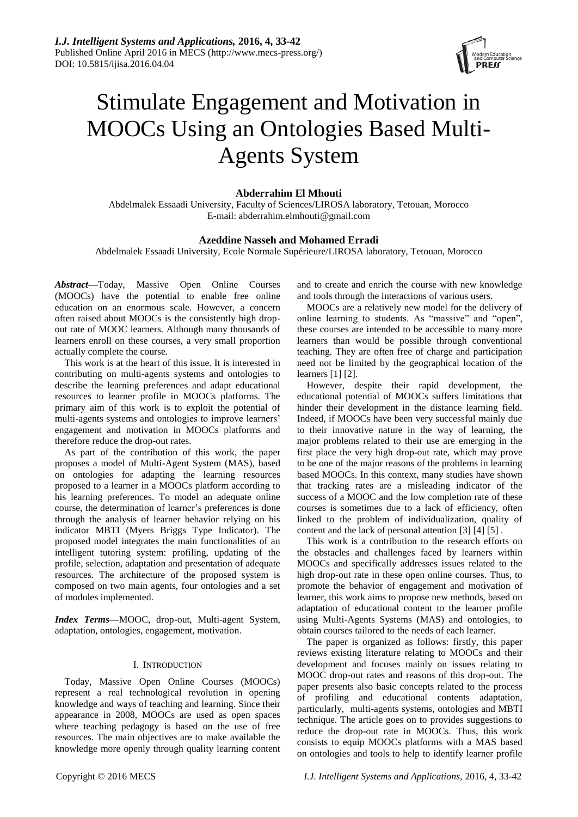

# Stimulate Engagement and Motivation in MOOCs Using an Ontologies Based Multi-Agents System

## **Abderrahim El Mhouti**

Abdelmalek Essaadi University, Faculty of Sciences/LIROSA laboratory, Tetouan, Morocco E-mail: abderrahim.elmhouti@gmail.com

## **Azeddine Nasseh and Mohamed Erradi**

Abdelmalek Essaadi University, Ecole Normale Supérieure/LIROSA laboratory, Tetouan, Morocco

*Abstract***—**Today, Massive Open Online Courses (MOOCs) have the potential to enable free online education on an enormous scale. However, a concern often raised about MOOCs is the consistently high dropout rate of MOOC learners. Although many thousands of learners enroll on these courses, a very small proportion actually complete the course.

This work is at the heart of this issue. It is interested in contributing on multi-agents systems and ontologies to describe the learning preferences and adapt educational resources to learner profile in MOOCs platforms. The primary aim of this work is to exploit the potential of multi-agents systems and ontologies to improve learners' engagement and motivation in MOOCs platforms and therefore reduce the drop-out rates.

As part of the contribution of this work, the paper proposes a model of Multi-Agent System (MAS), based on ontologies for adapting the learning resources proposed to a learner in a MOOCs platform according to his learning preferences. To model an adequate online course, the determination of learner's preferences is done through the analysis of learner behavior relying on his indicator MBTI (Myers Briggs Type Indicator). The proposed model integrates the main functionalities of an intelligent tutoring system: profiling, updating of the profile, selection, adaptation and presentation of adequate resources. The architecture of the proposed system is composed on two main agents, four ontologies and a set of modules implemented.

*Index Terms***—**MOOC, drop-out, Multi-agent System, adaptation, ontologies, engagement, motivation.

## I. INTRODUCTION

Today, Massive Open Online Courses (MOOCs) represent a real technological revolution in opening knowledge and ways of teaching and learning. Since their appearance in 2008, MOOCs are used as open spaces where teaching pedagogy is based on the use of free resources. The main objectives are to make available the knowledge more openly through quality learning content and to create and enrich the course with new knowledge and tools through the interactions of various users.

MOOCs are a relatively new model for the delivery of online learning to students. As "massive" and "open", these courses are intended to be accessible to many more learners than would be possible through conventional teaching. They are often free of charge and participation need not be limited by the geographical location of the learners [1] [2].

However, despite their rapid development, the educational potential of MOOCs suffers limitations that hinder their development in the distance learning field. Indeed, if MOOCs have been very successful mainly due to their innovative nature in the way of learning, the major problems related to their use are emerging in the first place the very high drop-out rate, which may prove to be one of the major reasons of the problems in learning based MOOCs. In this context, many studies have shown that tracking rates are a misleading indicator of the success of a MOOC and the low completion rate of these courses is sometimes due to a lack of efficiency, often linked to the problem of individualization, quality of content and the lack of personal attention [3] [4] [5] .

This work is a contribution to the research efforts on the obstacles and challenges faced by learners within MOOCs and specifically addresses issues related to the high drop-out rate in these open online courses. Thus, to promote the behavior of engagement and motivation of learner, this work aims to propose new methods, based on adaptation of educational content to the learner profile using Multi-Agents Systems (MAS) and ontologies, to obtain courses tailored to the needs of each learner.

The paper is organized as follows: firstly, this paper reviews existing literature relating to MOOCs and their development and focuses mainly on issues relating to MOOC drop-out rates and reasons of this drop-out. The paper presents also basic concepts related to the process of profiling and educational contents adaptation, particularly, multi-agents systems, ontologies and MBTI technique. The article goes on to provides suggestions to reduce the drop-out rate in MOOCs. Thus, this work consists to equip MOOCs platforms with a MAS based on ontologies and tools to help to identify learner profile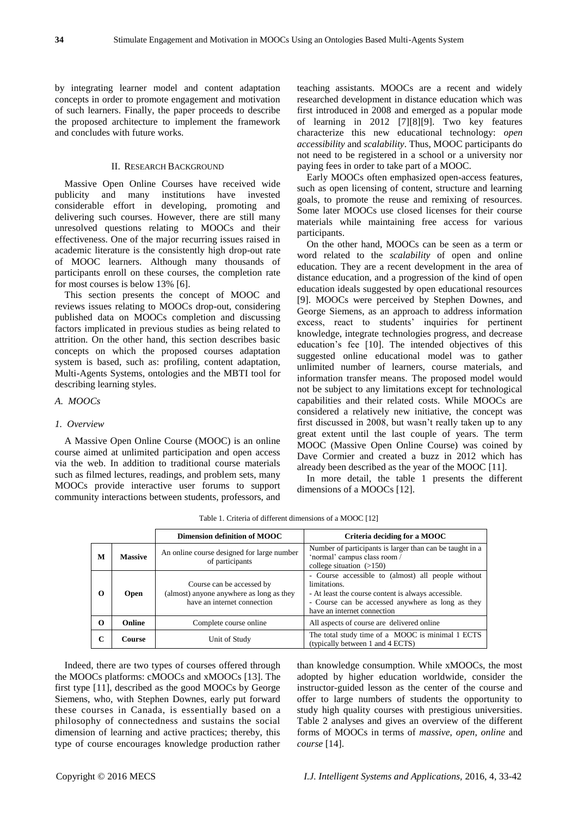by integrating learner model and content adaptation concepts in order to promote engagement and motivation of such learners. Finally, the paper proceeds to describe the proposed architecture to implement the framework and concludes with future works.

## II. RESEARCH BACKGROUND

Massive Open Online Courses have received wide publicity and many institutions have invested considerable effort in developing, promoting and delivering such courses. However, there are still many unresolved questions relating to MOOCs and their effectiveness. One of the major recurring issues raised in academic literature is the consistently high drop-out rate of MOOC learners. Although many thousands of participants enroll on these courses, the completion rate for most courses is below 13% [6].

This section presents the concept of MOOC and reviews issues relating to MOOCs drop-out, considering published data on MOOCs completion and discussing factors implicated in previous studies as being related to attrition. On the other hand, this section describes basic concepts on which the proposed courses adaptation system is based, such as: profiling, content adaptation, Multi-Agents Systems, ontologies and the MBTI tool for describing learning styles.

#### *A. MOOCs*

#### *1. Overview*

A Massive Open Online Course (MOOC) is an online course aimed at unlimited participation and open access via the web. In addition to traditional course materials such as filmed lectures, readings, and problem sets, many MOOCs provide interactive user forums to support community interactions between students, professors, and teaching assistants. MOOCs are a recent and widely researched development in distance education which was first introduced in 2008 and emerged as a popular mode of learning in 2012 [7][8][9]. Two key features characterize this new educational technology: *open accessibility* and *scalability*. Thus, MOOC participants do not need to be registered in a school or a university nor paying fees in order to take part of a MOOC.

Early MOOCs often emphasized open-access features, such as open licensing of content, structure and learning goals, to promote the reuse and remixing of resources. Some later MOOCs use closed licenses for their course materials while maintaining free access for various participants.

On the other hand, MOOCs can be seen as a term or word related to the *scalability* of open and online education. They are a recent development in the area of distance education, and a progression of the kind of open education ideals suggested by open educational resources [9]. MOOCs were perceived by Stephen Downes, and George Siemens, as an approach to address information excess, react to students' inquiries for pertinent knowledge, integrate technologies progress, and decrease education's fee [10]. The intended objectives of this suggested online educational model was to gather unlimited number of learners, course materials, and information transfer means. The proposed model would not be subject to any limitations except for technological capabilities and their related costs. While MOOCs are considered a relatively new initiative, the concept was first discussed in 2008, but wasn't really taken up to any great extent until the last couple of years. The term MOOC (Massive Open Online Course) was coined by Dave Cormier and created a buzz in 2012 which has already been described as the year of the MOOC [11].

In more detail, the table 1 presents the different dimensions of a MOOCs [12].

|          |                | Dimension definition of MOOC                                                                         | Criteria deciding for a MOOC                                                                                                                                                                                  |
|----------|----------------|------------------------------------------------------------------------------------------------------|---------------------------------------------------------------------------------------------------------------------------------------------------------------------------------------------------------------|
| M        | <b>Massive</b> | An online course designed for large number<br>of participants                                        | Number of participants is larger than can be taught in a<br>'normal' campus class room /<br>college situation $(>150)$                                                                                        |
| $\Omega$ | <b>Open</b>    | Course can be accessed by<br>(almost) anyone anywhere as long as they<br>have an internet connection | - Course accessible to (almost) all people without<br>limitations.<br>- At least the course content is always accessible.<br>- Course can be accessed anywhere as long as they<br>have an internet connection |
| $\Omega$ | Online         | Complete course online                                                                               | All aspects of course are delivered online                                                                                                                                                                    |
| C        | <b>Course</b>  | Unit of Study                                                                                        | The total study time of a MOOC is minimal 1 ECTS<br>(typically between 1 and 4 ECTS)                                                                                                                          |

Table 1. Criteria of different dimensions of a MOOC [12]

Indeed, there are two types of courses offered through the MOOCs platforms: cMOOCs and xMOOCs [13]. The first type [11], described as the good MOOCs by George Siemens, who, with Stephen Downes, early put forward these courses in Canada, is essentially based on a philosophy of connectedness and sustains the social dimension of learning and active practices; thereby, this type of course encourages knowledge production rather

than knowledge consumption. While xMOOCs, the most adopted by higher education worldwide, consider the instructor-guided lesson as the center of the course and offer to large numbers of students the opportunity to study high quality courses with prestigious universities. Table 2 analyses and gives an overview of the different forms of MOOCs in terms of *massive*, *open*, *online* and *course* [14].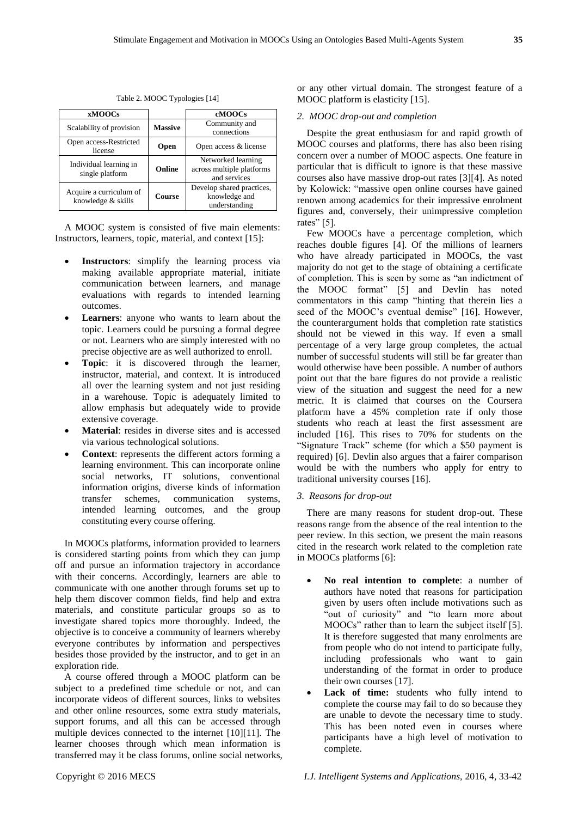|             | cMOOCs                    |  |
|-------------|---------------------------|--|
|             | Community and             |  |
|             | connections               |  |
| <b>Open</b> | Open access & license     |  |
|             | Networked learning        |  |
| Online      | across multiple platforms |  |
|             | and services              |  |
|             | Develop shared practices, |  |
| Course      | knowledge and             |  |
|             | understanding             |  |
|             | <b>Massive</b>            |  |

Table 2. MOOC Typologies [14]

A MOOC system is consisted of five main elements: Instructors, learners, topic, material, and context [15]:

- **Instructors**: simplify the learning process via making available appropriate material, initiate communication between learners, and manage evaluations with regards to intended learning outcomes.
- **Learners**: anyone who wants to learn about the topic. Learners could be pursuing a formal degree or not. Learners who are simply interested with no precise objective are as well authorized to enroll.
- **Topic**: it is discovered through the learner, instructor, material, and context. It is introduced all over the learning system and not just residing in a warehouse. Topic is adequately limited to allow emphasis but adequately wide to provide extensive coverage.
- **Material**: resides in diverse sites and is accessed via various technological solutions.
- **Context**: represents the different actors forming a learning environment. This can incorporate online social networks, IT solutions, conventional information origins, diverse kinds of information transfer schemes, communication systems, intended learning outcomes, and the group constituting every course offering.

In MOOCs platforms, information provided to learners is considered starting points from which they can jump off and pursue an information trajectory in accordance with their concerns. Accordingly, learners are able to communicate with one another through forums set up to help them discover common fields, find help and extra materials, and constitute particular groups so as to investigate shared topics more thoroughly. Indeed, the objective is to conceive a community of learners whereby everyone contributes by information and perspectives besides those provided by the instructor, and to get in an exploration ride.

A course offered through a MOOC platform can be subject to a predefined time schedule or not, and can incorporate videos of different sources, links to websites and other online resources, some extra study materials, support forums, and all this can be accessed through multiple devices connected to the internet [10][11]. The learner chooses through which mean information is transferred may it be class forums, online social networks, or any other virtual domain. The strongest feature of a MOOC platform is elasticity [15].

#### *2. MOOC drop-out and completion*

Despite the great enthusiasm for and rapid growth of MOOC courses and platforms, there has also been rising concern over a number of MOOC aspects. One feature in particular that is difficult to ignore is that these massive courses also have massive drop-out rates [3][4]. As noted by Kolowick: "massive open online courses have gained renown among academics for their impressive enrolment figures and, conversely, their unimpressive completion rates" [5].

Few MOOCs have a percentage completion, which reaches double figures [4]. Of the millions of learners who have already participated in MOOCs, the vast majority do not get to the stage of obtaining a certificate of completion. This is seen by some as "an indictment of the MOOC format" [5] and Devlin has noted commentators in this camp "hinting that therein lies a seed of the MOOC's eventual demise" [16]. However, the counterargument holds that completion rate statistics should not be viewed in this way. If even a small percentage of a very large group completes, the actual number of successful students will still be far greater than would otherwise have been possible. A number of authors point out that the bare figures do not provide a realistic view of the situation and suggest the need for a new metric. It is claimed that courses on the Coursera platform have a 45% completion rate if only those students who reach at least the first assessment are included [16]. This rises to 70% for students on the "Signature Track" scheme (for which a \$50 payment is required) [6]. Devlin also argues that a fairer comparison would be with the numbers who apply for entry to traditional university courses [16].

#### *3. Reasons for drop-out*

There are many reasons for student drop-out. These reasons range from the absence of the real intention to the peer review. In this section, we present the main reasons cited in the research work related to the completion rate in MOOCs platforms [6]:

- **No real intention to complete**: a number of authors have noted that reasons for participation given by users often include motivations such as "out of curiosity" and "to learn more about MOOCs" rather than to learn the subject itself [5]. It is therefore suggested that many enrolments are from people who do not intend to participate fully, including professionals who want to gain understanding of the format in order to produce their own courses [17].
- Lack of time: students who fully intend to complete the course may fail to do so because they are unable to devote the necessary time to study. This has been noted even in courses where participants have a high level of motivation to complete.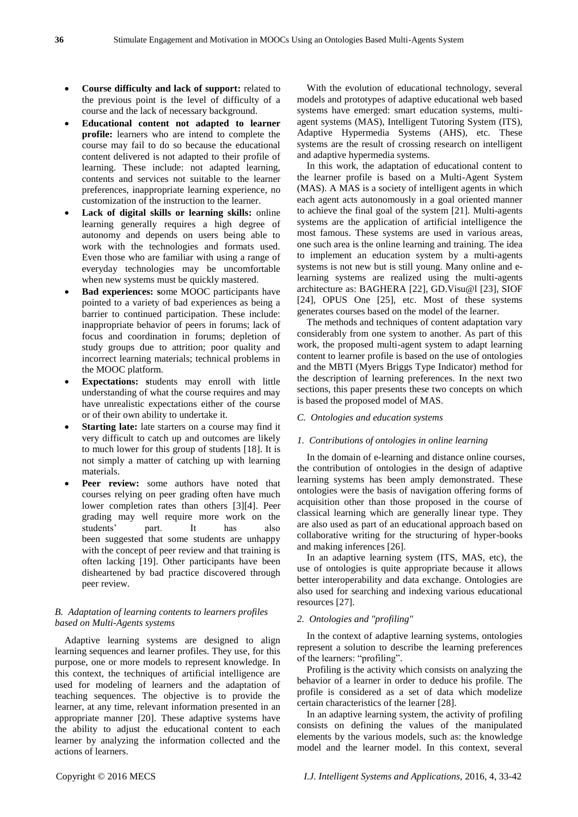- **Course difficulty and lack of support:** related to the previous point is the level of difficulty of a course and the lack of necessary background.
- **Educational content not adapted to learner profile:** learners who are intend to complete the course may fail to do so because the educational content delivered is not adapted to their profile of learning. These include: not adapted learning, contents and services not suitable to the learner preferences, inappropriate learning experience, no customization of the instruction to the learner.
- **Lack of digital skills or learning skills:** online learning generally requires a high degree of autonomy and depends on users being able to work with the technologies and formats used. Even those who are familiar with using a range of everyday technologies may be uncomfortable when new systems must be quickly mastered.
- **Bad experiences: s**ome MOOC participants have pointed to a variety of bad experiences as being a barrier to continued participation. These include: inappropriate behavior of peers in forums; lack of focus and coordination in forums; depletion of study groups due to attrition; poor quality and incorrect learning materials; technical problems in the MOOC platform.
- **Expectations: s**tudents may enroll with little understanding of what the course requires and may have unrealistic expectations either of the course or of their own ability to undertake it.
- **Starting late:** late starters on a course may find it very difficult to catch up and outcomes are likely to much lower for this group of students [18]. It is not simply a matter of catching up with learning materials.
- **Peer review:** some authors have noted that courses relying on peer grading often have much lower completion rates than others [3][4]. Peer grading may well require more work on the students' part. It has also been suggested that some students are unhappy with the concept of peer review and that training is often lacking [19]. Other participants have been disheartened by bad practice discovered through peer review.

# *B. Adaptation of learning contents to learners profiles based on Multi-Agents systems*

Adaptive learning systems are designed to align learning sequences and learner profiles. They use, for this purpose, one or more models to represent knowledge. In this context, the techniques of artificial intelligence are used for modeling of learners and the adaptation of teaching sequences. The objective is to provide the learner, at any time, relevant information presented in an appropriate manner [20]. These adaptive systems have the ability to adjust the educational content to each learner by analyzing the information collected and the actions of learners.

With the evolution of educational technology, several models and prototypes of adaptive educational web based systems have emerged: smart education systems, multiagent systems (MAS), Intelligent Tutoring System (ITS), Adaptive Hypermedia Systems (AHS), etc. These systems are the result of crossing research on intelligent and adaptive hypermedia systems.

In this work, the adaptation of educational content to the learner profile is based on a Multi-Agent System (MAS). A MAS is a society of intelligent agents in which each agent acts autonomously in a goal oriented manner to achieve the final goal of the system [21]. Multi-agents systems are the application of artificial intelligence the most famous. These systems are used in various areas, one such area is the online learning and training. The idea to implement an education system by a multi-agents systems is not new but is still young. Many online and elearning systems are realized using the multi-agents architecture as: BAGHERA [22], GD.Visu@l [23], SIOF [24], OPUS One [25], etc. Most of these systems generates courses based on the model of the learner.

The methods and techniques of content adaptation vary considerably from one system to another. As part of this work, the proposed multi-agent system to adapt learning content to learner profile is based on the use of ontologies and the MBTI (Myers Briggs Type Indicator) method for the description of learning preferences. In the next two sections, this paper presents these two concepts on which is based the proposed model of MAS.

## *C. Ontologies and education systems*

#### *1. Contributions of ontologies in online learning*

In the domain of e-learning and distance online courses, the contribution of ontologies in the design of adaptive learning systems has been amply demonstrated. These ontologies were the basis of navigation offering forms of acquisition other than those proposed in the course of classical learning which are generally linear type. They are also used as part of an educational approach based on collaborative writing for the structuring of hyper-books and making inferences [26].

In an adaptive learning system (ITS, MAS, etc), the use of ontologies is quite appropriate because it allows better interoperability and data exchange. Ontologies are also used for searching and indexing various educational resources [27].

#### *2. Ontologies and "profiling"*

In the context of adaptive learning systems, ontologies represent a solution to describe the learning preferences of the learners: "profiling".

Profiling is the activity which consists on analyzing the behavior of a learner in order to deduce his profile. The profile is considered as a set of data which modelize certain characteristics of the learner [28].

In an adaptive learning system, the activity of profiling consists on defining the values of the manipulated elements by the various models, such as: the knowledge model and the learner model. In this context, several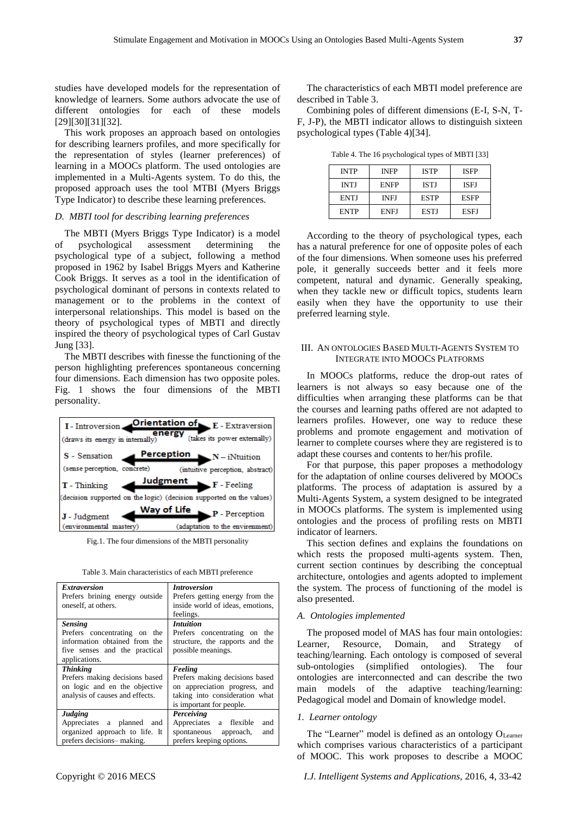studies have developed models for the representation of knowledge of learners. Some authors advocate the use of different ontologies for each of these models [29][30][31][32].

This work proposes an approach based on ontologies for describing learners profiles, and more specifically for the representation of styles (learner preferences) of learning in a MOOCs platform. The used ontologies are implemented in a Multi-Agents system. To do this, the proposed approach uses the tool MTBI (Myers Briggs Type Indicator) to describe these learning preferences.

## *D. MBTI tool for describing learning preferences*

The MBTI (Myers Briggs Type Indicator) is a model of psychological assessment determining the psychological type of a subject, following a method proposed in 1962 by Isabel Briggs Myers and Katherine Cook Briggs. It serves as a tool in the identification of psychological dominant of persons in contexts related to management or to the problems in the context of interpersonal relationships. This model is based on the theory of psychological types of MBTI and directly inspired the theory of psychological types of Carl Gustav Jung [33].

The MBTI describes with finesse the functioning of the person highlighting preferences spontaneous concerning four dimensions. Each dimension has two opposite poles. Fig. 1 shows the four dimensions of the MBTI personality.



Fig.1. The four dimensions of the MBTI personality

|  | Table 3. Main characteristics of each MBTI preference |  |  |  |
|--|-------------------------------------------------------|--|--|--|
|--|-------------------------------------------------------|--|--|--|

| <b>Extraversion</b><br>Prefers brining energy outside<br>oneself, at others.                                                      | <i><b>Introversion</b></i><br>Prefers getting energy from the<br>inside world of ideas, emotions,<br>feelings.                           |  |  |
|-----------------------------------------------------------------------------------------------------------------------------------|------------------------------------------------------------------------------------------------------------------------------------------|--|--|
| <b>Sensing</b><br>Prefers concentrating on the<br>information obtained from the<br>five senses and the practical<br>applications. | <i>Intuition</i><br>Prefers concentrating on the<br>structure, the rapports and the<br>possible meanings.                                |  |  |
| <b>Thinking</b><br>Prefers making decisions based<br>on logic and en the objective<br>analysis of causes and effects.             | Feeling<br>Prefers making decisions based<br>on appreciation progress, and<br>taking into consideration what<br>is important for people. |  |  |
| Judging<br>Appreciates a planned and<br>organized approach to life. It<br>prefers decisions-making.                               | Perceiving<br>Appreciates a flexible<br>and<br>spontaneous approach,<br>and<br>prefers keeping options.                                  |  |  |

The characteristics of each MBTI model preference are described in Table 3.

Combining poles of different dimensions (E-I, S-N, T-F, J-P), the MBTI indicator allows to distinguish sixteen psychological types (Table 4)[34].

Table 4. The 16 psychological types of MBTI [33]

| <b>INTP</b> | <b>INFP</b> | <b>ISTP</b> | <b>ISFP</b> |
|-------------|-------------|-------------|-------------|
| <b>INTJ</b> | <b>ENFP</b> | <b>ISTJ</b> | <b>ISEJ</b> |
| <b>ENTJ</b> | <b>INEJ</b> | <b>ESTP</b> | <b>ESFP</b> |
| <b>ENTP</b> | <b>ENFJ</b> | <b>ESTJ</b> | ESEJ        |

According to the theory of psychological types, each has a natural preference for one of opposite poles of each of the four dimensions. When someone uses his preferred pole, it generally succeeds better and it feels more competent, natural and dynamic. Generally speaking, when they tackle new or difficult topics, students learn easily when they have the opportunity to use their preferred learning style.

## III. AN ONTOLOGIES BASED MULTI-AGENTS SYSTEM TO INTEGRATE INTO MOOCS PLATFORMS

In MOOCs platforms, reduce the drop-out rates of learners is not always so easy because one of the difficulties when arranging these platforms can be that the courses and learning paths offered are not adapted to learners profiles. However, one way to reduce these problems and promote engagement and motivation of learner to complete courses where they are registered is to adapt these courses and contents to her/his profile.

For that purpose, this paper proposes a methodology for the adaptation of online courses delivered by MOOCs platforms. The process of adaptation is assured by a Multi-Agents System, a system designed to be integrated in MOOCs platforms. The system is implemented using ontologies and the process of profiling rests on MBTI indicator of learners.

This section defines and explains the foundations on which rests the proposed multi-agents system. Then, current section continues by describing the conceptual architecture, ontologies and agents adopted to implement the system. The process of functioning of the model is also presented.

### *A. Ontologies implemented*

The proposed model of MAS has four main ontologies: Learner, Resource, Domain, and Strategy of teaching/learning. Each ontology is composed of several sub-ontologies (simplified ontologies). The four ontologies are interconnected and can describe the two main models of the adaptive teaching/learning: Pedagogical model and Domain of knowledge model.

## *1. Learner ontology*

The "Learner" model is defined as an ontology O<sub>Learner</sub> which comprises various characteristics of a participant of MOOC. This work proposes to describe a MOOC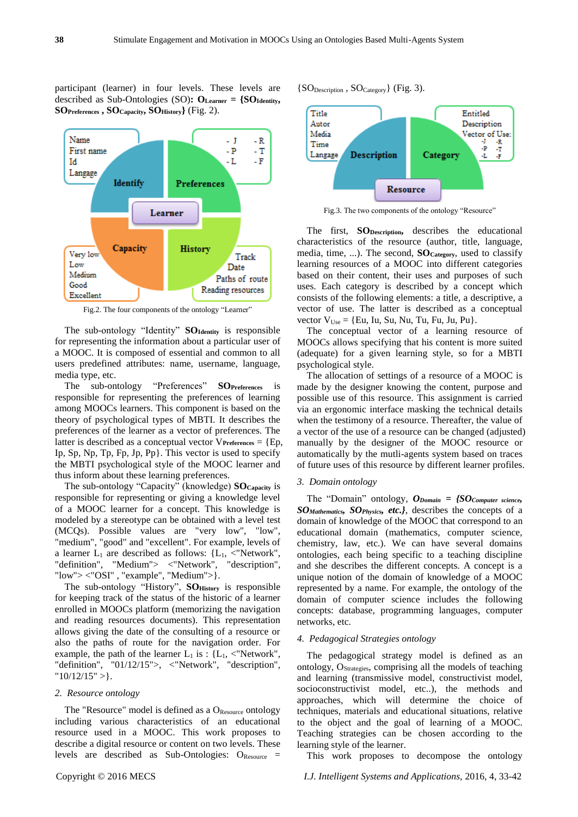participant (learner) in four levels. These levels are described as Sub-Ontologies (SO)**: OLearner = {SOIdentity, SOPreferences , SOCapacity, SOHistory}** (Fig. 2).



Fig.2. The four components of the ontology "Learner"

The sub-ontology "Identity" **SOIdentity** is responsible for representing the information about a particular user of a MOOC. It is composed of essential and common to all users predefined attributes: name, username, language, media type, etc.

The sub-ontology "Preferences" **SOPreferences** is responsible for representing the preferences of learning among MOOCs learners. This component is based on the theory of psychological types of MBTI. It describes the preferences of the learner as a vector of preferences. The latter is described as a conceptual vector V**Preferences** = {Ep, Ip, Sp, Np, Tp, Fp, Jp, Pp}. This vector is used to specify the MBTI psychological style of the MOOC learner and thus inform about these learning preferences.

The sub-ontology "Capacity" (knowledge) **SOCapacity** is responsible for representing or giving a knowledge level of a MOOC learner for a concept. This knowledge is modeled by a stereotype can be obtained with a level test (MCQs). Possible values are "very low", "low", "medium", "good" and "excellent". For example, levels of a learner  $L_1$  are described as follows: { $L_1$ , <"Network", "definition", "Medium"> <"Network", "description", "low"> <"OSI" , "example", "Medium">}.

The sub-ontology "History", **SOHistory** is responsible for keeping track of the status of the historic of a learner enrolled in MOOCs platform (memorizing the navigation and reading resources documents). This representation allows giving the date of the consulting of a resource or also the paths of route for the navigation order. For example, the path of the learner  $L_1$  is : { $L_1$ , <"Network", "definition", "01/12/15">, <"Network", "description", "10/12/15" >}.

#### *2. Resource ontology*

The "Resource" model is defined as a  $O_{\text{Resource}}$  ontology including various characteristics of an educational resource used in a MOOC. This work proposes to describe a digital resource or content on two levels. These levels are described as Sub-Ontologies: OResource =



Fig.3. The two components of the ontology "Resource"

The first, **SODescription,** describes the educational characteristics of the resource (author, title, language, media, time, ...). The second, **SOCategory**, used to classify learning resources of a MOOC into different categories based on their content, their uses and purposes of such uses. Each category is described by a concept which consists of the following elements: a title, a descriptive, a vector of use. The latter is described as a conceptual vector  $V_{Use} = \{Eu, Iu, Su, Nu, Tu, Fu, Ju, Pu\}.$ 

The conceptual vector of a learning resource of MOOCs allows specifying that his content is more suited (adequate) for a given learning style, so for a MBTI psychological style.

The allocation of settings of a resource of a MOOC is made by the designer knowing the content, purpose and possible use of this resource. This assignment is carried via an ergonomic interface masking the technical details when the testimony of a resource. Thereafter, the value of a vector of the use of a resource can be changed (adjusted) manually by the designer of the MOOC resource or automatically by the mutli-agents system based on traces of future uses of this resource by different learner profiles.

## *3. Domain ontology*

The "Domain" ontology, *ODomain = {SOComputer science, SOMathematics, SOPhysics, etc.},* describes the concepts of a domain of knowledge of the MOOC that correspond to an educational domain (mathematics, computer science, chemistry, law, etc.). We can have several domains ontologies, each being specific to a teaching discipline and she describes the different concepts. A concept is a unique notion of the domain of knowledge of a MOOC represented by a name. For example, the ontology of the domain of computer science includes the following concepts: database, programming languages, computer networks, etc.

#### *4. Pedagogical Strategies ontology*

The pedagogical strategy model is defined as an ontology, OStrategies, comprising all the models of teaching and learning (transmissive model, constructivist model, socioconstructivist model, etc..), the methods and approaches, which will determine the choice of techniques, materials and educational situations, relative to the object and the goal of learning of a MOOC. Teaching strategies can be chosen according to the learning style of the learner.

This work proposes to decompose the ontology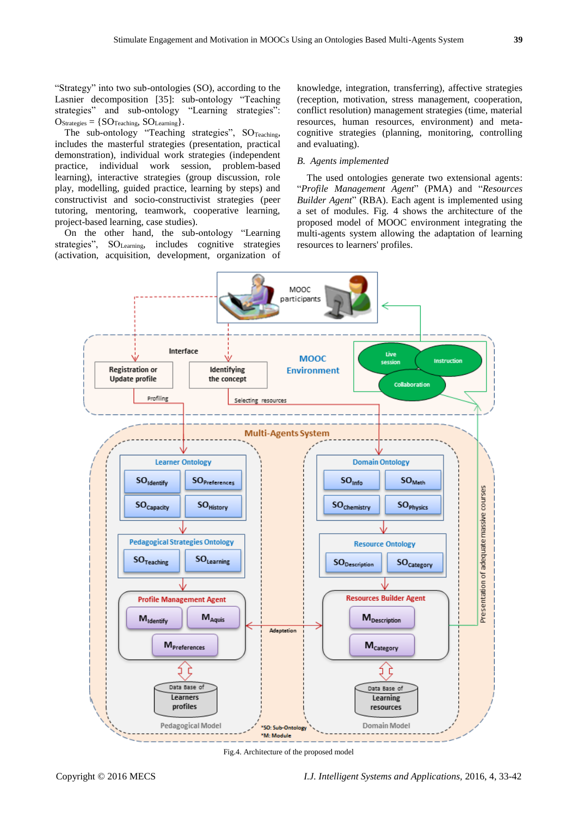"Strategy" into two sub-ontologies (SO), according to the Lasnier decomposition [35]: sub-ontology "Teaching strategies" and sub-ontology "Learning strategies":  $O_{\text{Strategies}} = \{ \text{SO}_{\text{Teaching}}, \text{SO}_{\text{Learning}} \}.$ 

The sub-ontology "Teaching strategies",  $SO_{\text{Teaching}}$ , includes the masterful strategies (presentation, practical demonstration), individual work strategies (independent practice, individual work session, problem-based learning), interactive strategies (group discussion, role play, modelling, guided practice, learning by steps) and constructivist and socio-constructivist strategies (peer tutoring, mentoring, teamwork, cooperative learning, project-based learning, case studies).

On the other hand, the sub-ontology "Learning strategies", SO<sub>Learning</sub>, includes cognitive strategies (activation, acquisition, development, organization of knowledge, integration, transferring), affective strategies (reception, motivation, stress management, cooperation, conflict resolution) management strategies (time, material resources, human resources, environment) and metacognitive strategies (planning, monitoring, controlling and evaluating).

## *B. Agents implemented*

The used ontologies generate two extensional agents: "*Profile Management Agent*" (PMA) and "*Resources Builder Agent*" (RBA). Each agent is implemented using a set of modules. Fig. 4 shows the architecture of the proposed model of MOOC environment integrating the multi-agents system allowing the adaptation of learning resources to learners' profiles.



Fig.4. Architecture of the proposed model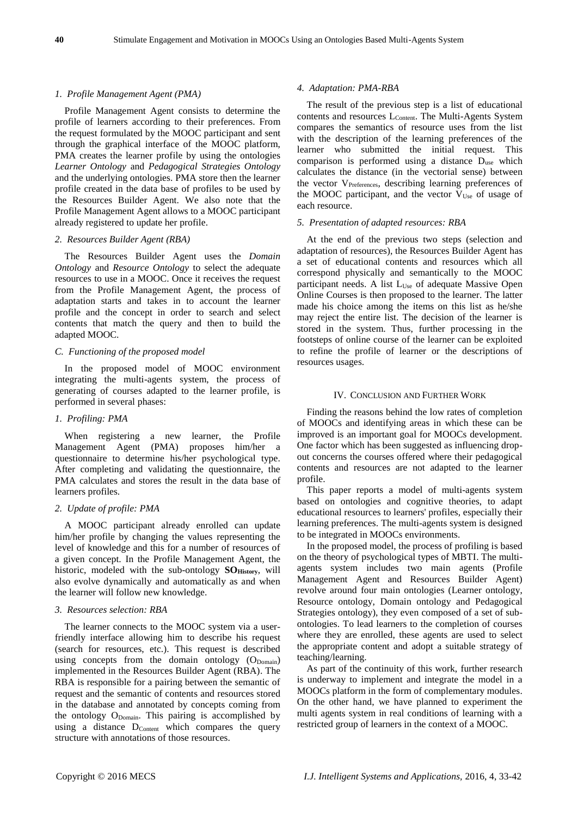#### *1. Profile Management Agent (PMA)*

Profile Management Agent consists to determine the profile of learners according to their preferences. From the request formulated by the MOOC participant and sent through the graphical interface of the MOOC platform, PMA creates the learner profile by using the ontologies *Learner Ontology* and *Pedagogical Strategies Ontology* and the underlying ontologies. PMA store then the learner profile created in the data base of profiles to be used by the Resources Builder Agent. We also note that the Profile Management Agent allows to a MOOC participant already registered to update her profile.

#### *2. Resources Builder Agent (RBA)*

The Resources Builder Agent uses the *Domain Ontology* and *Resource Ontology* to select the adequate resources to use in a MOOC. Once it receives the request from the Profile Management Agent, the process of adaptation starts and takes in to account the learner profile and the concept in order to search and select contents that match the query and then to build the adapted MOOC.

## *C. Functioning of the proposed model*

In the proposed model of MOOC environment integrating the multi-agents system, the process of generating of courses adapted to the learner profile, is performed in several phases:

## *1. Profiling: PMA*

When registering a new learner, the Profile Management Agent (PMA) proposes him/her a questionnaire to determine his/her psychological type. After completing and validating the questionnaire, the PMA calculates and stores the result in the data base of learners profiles.

#### *2. Update of profile: PMA*

A MOOC participant already enrolled can update him/her profile by changing the values representing the level of knowledge and this for a number of resources of a given concept. In the Profile Management Agent, the historic, modeled with the sub-ontology **SOHistory**, will also evolve dynamically and automatically as and when the learner will follow new knowledge.

#### *3. Resources selection: RBA*

The learner connects to the MOOC system via a userfriendly interface allowing him to describe his request (search for resources, etc.). This request is described using concepts from the domain ontology  $(O_{Domain})$ implemented in the Resources Builder Agent (RBA). The RBA is responsible for a pairing between the semantic of request and the semantic of contents and resources stored in the database and annotated by concepts coming from the ontology O<sub>Domain</sub>. This pairing is accomplished by using a distance  $D_{\text{Content}}$  which compares the query structure with annotations of those resources.

#### *4. Adaptation: PMA-RBA*

The result of the previous step is a list of educational contents and resources L<sub>Content</sub>. The Multi-Agents System compares the semantics of resource uses from the list with the description of the learning preferences of the learner who submitted the initial request. This comparison is performed using a distance Duse which calculates the distance (in the vectorial sense) between the vector V<sub>Preferences</sub>, describing learning preferences of the MOOC participant, and the vector  $V_{Use}$  of usage of each resource.

#### *5. Presentation of adapted resources: RBA*

At the end of the previous two steps (selection and adaptation of resources), the Resources Builder Agent has a set of educational contents and resources which all correspond physically and semantically to the MOOC participant needs. A list L<sub>Use</sub> of adequate Massive Open Online Courses is then proposed to the learner. The latter made his choice among the items on this list as he/she may reject the entire list. The decision of the learner is stored in the system. Thus, further processing in the footsteps of online course of the learner can be exploited to refine the profile of learner or the descriptions of resources usages.

#### IV. CONCLUSION AND FURTHER WORK

Finding the reasons behind the low rates of completion of MOOCs and identifying areas in which these can be improved is an important goal for MOOCs development. One factor which has been suggested as influencing dropout concerns the courses offered where their pedagogical contents and resources are not adapted to the learner profile.

This paper reports a model of multi-agents system based on ontologies and cognitive theories, to adapt educational resources to learners' profiles, especially their learning preferences. The multi-agents system is designed to be integrated in MOOCs environments.

In the proposed model, the process of profiling is based on the theory of psychological types of MBTI. The multiagents system includes two main agents (Profile Management Agent and Resources Builder Agent) revolve around four main ontologies (Learner ontology, Resource ontology, Domain ontology and Pedagogical Strategies ontology), they even composed of a set of subontologies. To lead learners to the completion of courses where they are enrolled, these agents are used to select the appropriate content and adopt a suitable strategy of teaching/learning.

As part of the continuity of this work, further research is underway to implement and integrate the model in a MOOCs platform in the form of complementary modules. On the other hand, we have planned to experiment the multi agents system in real conditions of learning with a restricted group of learners in the context of a MOOC.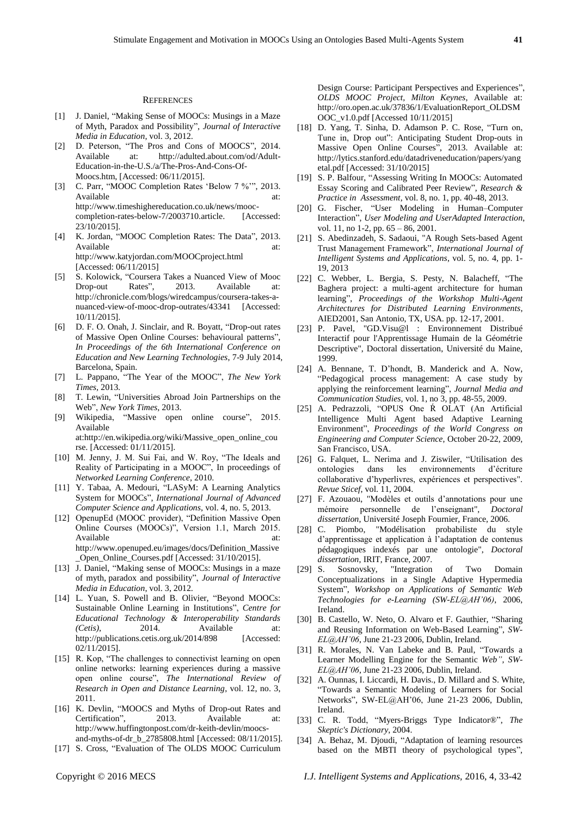#### **REFERENCES**

- [1] J. Daniel, "Making Sense of MOOCs: Musings in a Maze of Myth, Paradox and Possibility", *Journal of Interactive Media in Education*, vol. 3, 2012.
- [2] D. Peterson, "The Pros and Cons of MOOCS", 2014. Available at: http://adulted.about.com/od/Adult-Education-in-the-U.S./a/The-Pros-And-Cons-Of-Moocs.htm, [Accessed: 06/11/2015].
- [3] C. Parr, "MOOC Completion Rates 'Below 7 %'", 2013. Available at: at: http://www.timeshighereducation.co.uk/news/mooccompletion-rates-below-7/2003710.article. [Accessed: 23/10/2015]. [4] K. Jordan, "MOOC Completion Rates: The Data", 2013.
- Available at: at: http://www.katyjordan.com/MOOCproject.html [Accessed: 06/11/2015]
- [5] S. Kolowick, "Coursera Takes a Nuanced View of Mooc Drop-out Rates", 2013. Available at: http://chronicle.com/blogs/wiredcampus/coursera-takes-anuanced-view-of-mooc-drop-outrates/43341 [Accessed: 10/11/2015].
- [6] D. F. O. Onah, J. Sinclair, and R. Boyatt, "Drop-out rates of Massive Open Online Courses: behavioural patterns", *In Proceedings of the 6th International Conference on Education and New Learning Technologies*, 7-9 July 2014, Barcelona, Spain.
- [7] L. Pappano, "The Year of the MOOC", *The New York Times*, 2013.
- [8] T. Lewin, "Universities Abroad Join Partnerships on the Web", *New York Times*, 2013.
- [9] Wikipedia, "Massive open online course", 2015. Available

at:http://en.wikipedia.org/wiki/Massive\_open\_online\_cou rse. [Accessed: 01/11/2015].

- [10] M. Jenny, J. M. Sui Fai, and W. Roy, "The Ideals and Reality of Participating in a MOOC", In proceedings of *Networked Learning Conference*, 2010.
- [11] Y. Tabaa, A. Medouri, "LASyM: A Learning Analytics System for MOOCs", *International Journal of Advanced Computer Science and Applications*, vol. 4, no. 5, 2013.
- [12] OpenupEd (MOOC provider), "Definition Massive Open Online Courses (MOOCs)", Version 1.1, March 2015. Available at: at: http://www.openuped.eu/images/docs/Definition\_Massive \_Open\_Online\_Courses.pdf [Accessed: 31/10/2015].
- [13] J. Daniel, "Making sense of MOOCs: Musings in a maze of myth, paradox and possibility", *Journal of Interactive Media in Education*, vol. 3, 2012.
- [14] L. Yuan, S. Powell and B. Olivier, "Beyond MOOCs: Sustainable Online Learning in Institutions", *Centre for Educational Technology & Interoperability Standards (Cetis)*, 2014. Available at: http://publications.cetis.org.uk/2014/898 [Accessed: 02/11/2015].
- [15] R. Kop, "The challenges to connectivist learning on open online networks: learning experiences during a massive open online course", *The International Review of Research in Open and Distance Learning*, vol. 12, no. 3, 2011.
- [16] K. Devlin, "MOOCS and Myths of Drop-out Rates and Certification", 2013. Available at: http://www.huffingtonpost.com/dr-keith-devlin/moocsand-myths-of-dr\_b\_2785808.html [Accessed: 08/11/2015].
- [17] S. Cross, "Evaluation of The OLDS MOOC Curriculum
- [18] D. Yang, T. Sinha, D. Adamson P. C. Rose, "Turn on, Tune in, Drop out": Anticipating Student Drop-outs in Massive Open Online Courses", 2013. Available at: http://lytics.stanford.edu/datadriveneducation/papers/yang etal.pdf [Accessed: 31/10/2015]
- [19] S. P. Balfour, "Assessing Writing In MOOCs: Automated Essay Scoring and Calibrated Peer Review", *Research & Practice in Assessment,* vol. 8, no. 1, pp. 40-48, 2013.
- [20] G. Fischer, "User Modeling in Human–Computer Interaction", *User Modeling and UserAdapted Interaction*, vol. 11, no 1-2, pp. 65 – 86, 2001.
- [21] S. Abedinzadeh, S. Sadaoui, "A Rough Sets-based Agent Trust Management Framework", *International Journal of Intelligent Systems and Applications*, vol. 5, no. 4, pp. 1- 19, 2013
- [22] C. Webber, L. Bergia, S. Pesty, N. Balacheff, "The Baghera project: a multi-agent architecture for human learning", *Proceedings of the Workshop Multi-Agent Architectures for Distributed Learning Environments*, AIED2001, San Antonio, TX, USA. pp. 12-17, 2001.
- [23] P. Pavel, "GD.Visu@l : Environnement Distribué Interactif pour l'Apprentissage Humain de la Géométrie Descriptive", Doctoral dissertation, Université du Maine, 1999.
- [24] A. Bennane, T. D'hondt, B. Manderick and A. Now, "Pedagogical process management: A case study by applying the reinforcement learning", *Journal Media and Communication Studies,* vol. 1, no 3, pp. 48-55, 2009.
- [25] A. Pedrazzoli, "OPUS One Ŕ OLAT (An Artificial Intelligence Multi Agent based Adaptive Learning Environment", *Proceedings of the World Congress on Engineering and Computer Science*, October 20-22, 2009, San Francisco, USA.
- [26] G. Falquet, L. Nerima and J. Ziswiler, "Utilisation des ontologies dans les environnements d'écriture collaborative d'hyperlivres, expériences et perspectives". *Revue Sticef*, vol. 11, 2004.
- [27] F. Azouaou, "Modèles et outils d'annotations pour une mémoire personnelle de l'enseignant", *Doctoral dissertation*, Université Joseph Fournier, France, 2006.
- [28] C. Piombo, "Modélisation probabiliste du style d'apprentissage et application à l'adaptation de contenus pédagogiques indexés par une ontologie", *Doctoral dissertation*, IRIT, France, 2007.
- [29] S. Sosnovsky, "Integration of Two Domain Conceptualizations in a Single Adaptive Hypermedia System", *Workshop on Applications of Semantic Web Technologies for e-Learning (SW-EL@AH'06)*, 2006, Ireland.
- [30] B. Castello, W. Neto, O. Alvaro et F. Gauthier, "Sharing and Reusing Information on Web-Based Learning", *SW-EL@AH'06*, June 21-23 2006, Dublin, Ireland.
- [31] R. Morales, N. Van Labeke and B. Paul, "Towards a Learner Modelling Engine for the Semantic *Web", SW-EL@AH'06*, June 21-23 2006, Dublin, Ireland.
- [32] A. Ounnas, I. Liccardi, H. Davis., D. Millard and S. White, "Towards a Semantic Modeling of Learners for Social Networks", SW-EL@AH'06, June 21-23 2006, Dublin, Ireland.
- [33] C. R. Todd, "Myers-Briggs Type Indicator®", *The Skeptic's Dictionary*, 2004.
- [34] A. Behaz, M. Djoudi, "Adaptation of learning resources based on the MBTI theory of psychological types",